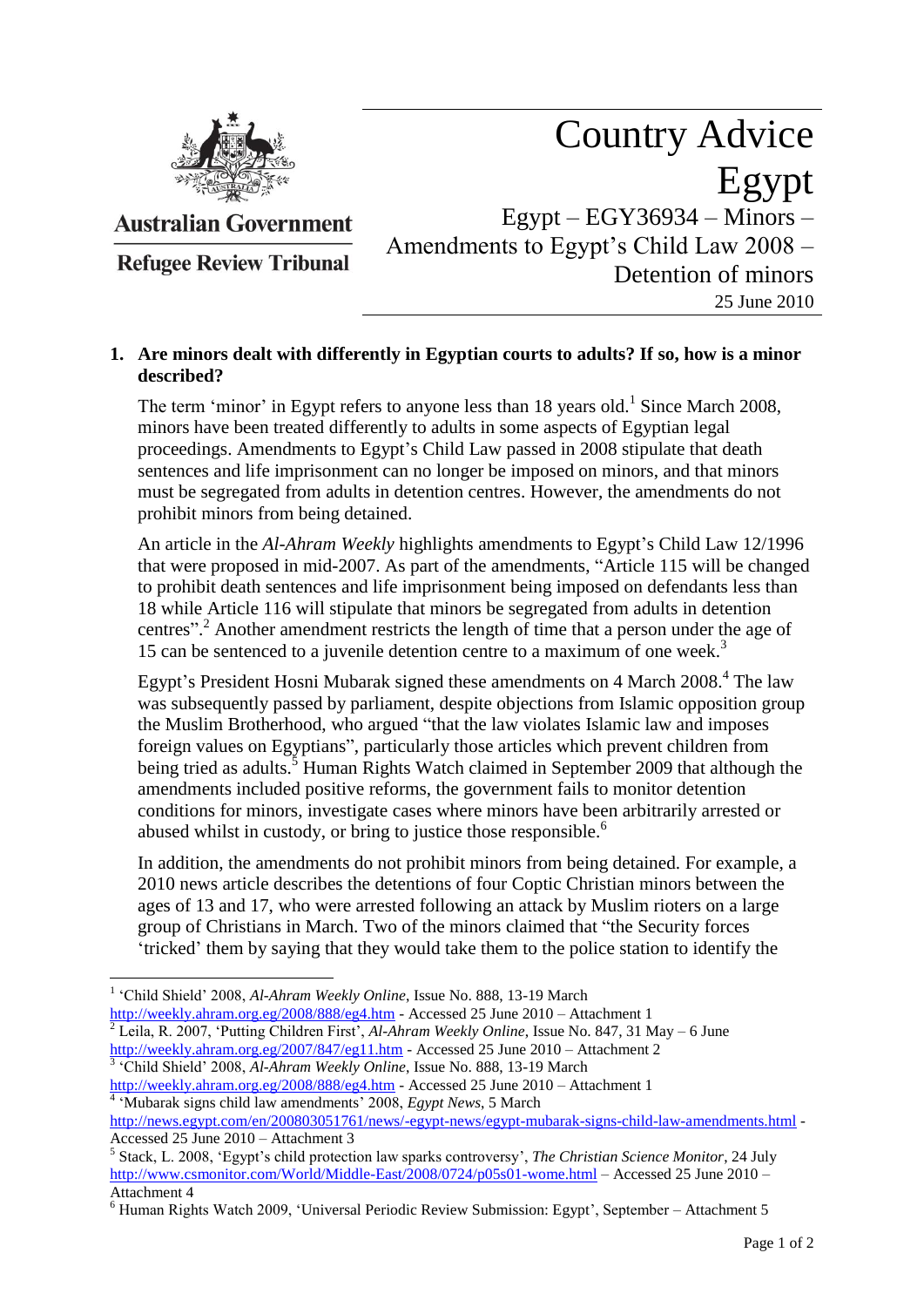

**Australian Government** 

**Refugee Review Tribunal** 

## Country Advice Egypt  $Egypt - EGY36934 - Minors -$ Amendments to Egypt"s Child Law 2008 – Detention of minors

25 June 2010

## **1. Are minors dealt with differently in Egyptian courts to adults? If so, how is a minor described?**

The term 'minor' in Egypt refers to anyone less than 18 years old.<sup>1</sup> Since March 2008, minors have been treated differently to adults in some aspects of Egyptian legal proceedings. Amendments to Egypt's Child Law passed in 2008 stipulate that death sentences and life imprisonment can no longer be imposed on minors, and that minors must be segregated from adults in detention centres. However, the amendments do not prohibit minors from being detained.

An article in the *Al-Ahram Weekly* highlights amendments to Egypt's Child Law 12/1996 that were proposed in mid-2007. As part of the amendments, "Article 115 will be changed to prohibit death sentences and life imprisonment being imposed on defendants less than 18 while Article 116 will stipulate that minors be segregated from adults in detention centres".<sup>2</sup> Another amendment restricts the length of time that a person under the age of 15 can be sentenced to a juvenile detention centre to a maximum of one week.<sup>3</sup>

Egypt's President Hosni Mubarak signed these amendments on 4 March 2008.<sup>4</sup> The law was subsequently passed by parliament, despite objections from Islamic opposition group the Muslim Brotherhood, who argued "that the law violates Islamic law and imposes foreign values on Egyptians", particularly those articles which prevent children from being tried as adults.<sup>5</sup> Human Rights Watch claimed in September 2009 that although the amendments included positive reforms, the government fails to monitor detention conditions for minors, investigate cases where minors have been arbitrarily arrested or abused whilst in custody, or bring to justice those responsible.<sup>6</sup>

In addition, the amendments do not prohibit minors from being detained. For example, a 2010 news article describes the detentions of four Coptic Christian minors between the ages of 13 and 17, who were arrested following an attack by Muslim rioters on a large group of Christians in March. Two of the minors claimed that "the Security forces "tricked" them by saying that they would take them to the police station to identify the

 $\overline{a}$ 

<sup>2</sup> Leila, R. 2007, 'Putting Children First', *Al-Ahram Weekly Online*, Issue No. 847, 31 May – 6 June <http://weekly.ahram.org.eg/2007/847/eg11.htm> - Accessed 25 June 2010 – Attachment 2 <sup>3</sup> 'Child Shield' 2008, *Al-Ahram Weekly Online*, Issue No. 888, 13-19 March

<sup>&</sup>lt;sup>1</sup> 'Child Shield' 2008, Al-Ahram Weekly Online, Issue No. 888, 13-19 March <http://weekly.ahram.org.eg/2008/888/eg4.htm> - Accessed 25 June 2010 – Attachment 1

<http://weekly.ahram.org.eg/2008/888/eg4.htm> - Accessed 25 June 2010 – Attachment 1 <sup>4</sup> 'Mubarak signs child law amendments' 2008, *Egypt News*, 5 March

<http://news.egypt.com/en/200803051761/news/-egypt-news/egypt-mubarak-signs-child-law-amendments.html> - Accessed 25 June 2010 – Attachment 3

<sup>&</sup>lt;sup>5</sup> Stack, L. 2008, 'Egypt's child protection law sparks controversy', *The Christian Science Monitor*, 24 July <http://www.csmonitor.com/World/Middle-East/2008/0724/p05s01-wome.html> – Accessed 25 June 2010 – Attachment 4

 $6$  Human Rights Watch 2009, 'Universal Periodic Review Submission: Egypt', September – Attachment 5